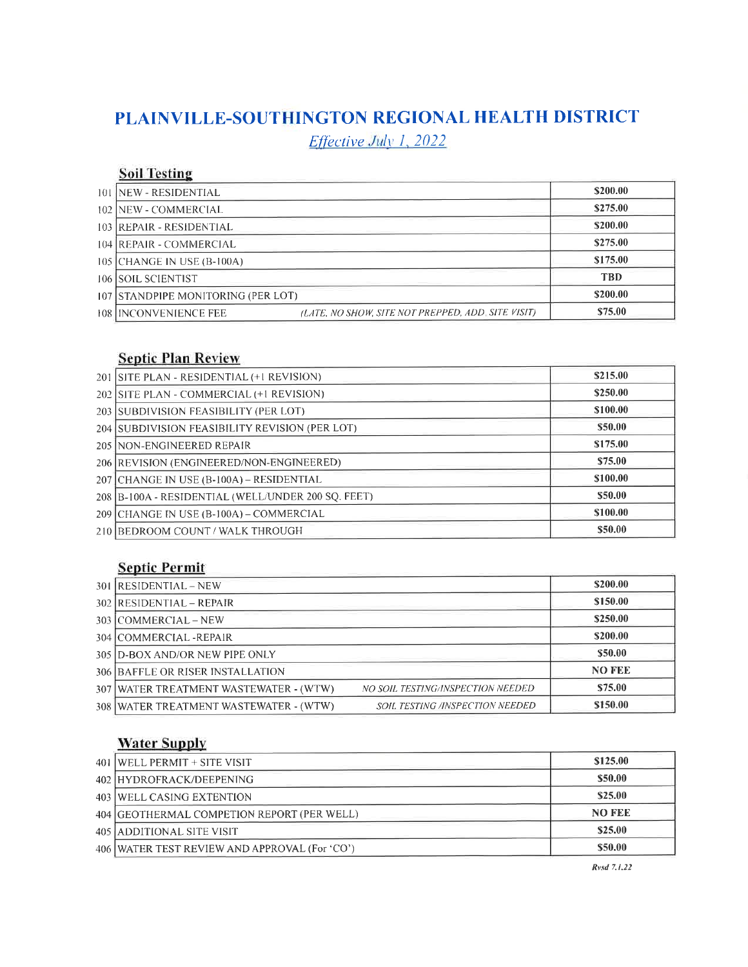## PLAINVILLE.SOUTHINGTON REGIONAL HEALTH DISTRICT

 $Effective$  July 1, 2022

## **Soil Testing**

| 101   NEW - RESIDENTIAL            |                                                    | \$200.00   |
|------------------------------------|----------------------------------------------------|------------|
| 102 NEW - COMMERCIAL               |                                                    | \$275.00   |
| 103 REPAIR - RESIDENTIAL           |                                                    | \$200.00   |
| 104 REPAIR - COMMERCIAL            |                                                    | \$275.00   |
| 105 CHANGE IN USE (B-100A)         |                                                    | \$175.00   |
| 106 SOIL SCIENTIST                 |                                                    | <b>TBD</b> |
| 107 STANDPIPE MONITORING (PER LOT) |                                                    | \$200.00   |
| 108   INCONVENIENCE FEE            | (LATE, NO SHOW, SITE NOT PREPPED, ADD. SITE VISIT) | \$75.00    |

### Septic Plan Review

| 201 SITE PLAN - RESIDENTIAL (+1 REVISION)          | \$215.00 |
|----------------------------------------------------|----------|
| 202 SITE PLAN - COMMERCIAL (+1 REVISION)           | \$250.00 |
| 203 SUBDIVISION FEASIBILITY (PER LOT)              | \$100.00 |
| 204 SUBDIVISION FEASIBILITY REVISION (PER LOT)     | \$50.00  |
| 205 NON-ENGINEERED REPAIR                          | \$175.00 |
| 206 REVISION (ENGINEERED/NON-ENGINEERED)           | \$75.00  |
| 207 CHANGE IN USE (B-100A) – RESIDENTIAL           | \$100.00 |
| 208 B-100A - RESIDENTIAL (WELL/UNDER 200 SQ. FEET) | \$50.00  |
| 209 CHANGE IN USE (B-100A) - COMMERCIAL            | \$100.00 |
| 210 BEDROOM COUNT / WALK THROUGH                   | \$50.00  |

## **Septic Permit**

| 301 RESIDENTIAL - NEW                    |                                          | \$200.00      |
|------------------------------------------|------------------------------------------|---------------|
| $302$ RESIDENTIAL – REPAIR               |                                          | \$150.00      |
| 303 COMMERCIAL – NEW                     |                                          | \$250.00      |
| 304 COMMERCIAL - REPAIR                  |                                          | \$200.00      |
| 305   D-BOX AND/OR NEW PIPE ONLY         |                                          | \$50.00       |
| 306 BAFFLE OR RISER INSTALLATION         |                                          | <b>NO FEE</b> |
| 307   WATER TREATMENT WASTEWATER - (WTW) | <b>NO SOIL TESTING/INSPECTION NEEDED</b> | \$75.00       |
| 308   WATER TREATMENT WASTEWATER - (WTW) | <b>SOIL TESTING /INSPECTION NEEDED</b>   | \$150.00      |
|                                          |                                          |               |

## **Water Supply**

| 401 WELL PERMIT + SITE VISIT                  | \$125.00      |
|-----------------------------------------------|---------------|
| 402 HYDROFRACK/DEEPENING                      | \$50.00       |
| 403 WELL CASING EXTENTION                     | \$25.00       |
| 404 GEOTHERMAL COMPETION REPORT (PER WELL)    | <b>NO FEE</b> |
| 405 ADDITIONAL SITE VISIT                     | \$25.00       |
| 406 WATER TEST REVIEW AND APPROVAL (For 'CO') | \$50.00       |